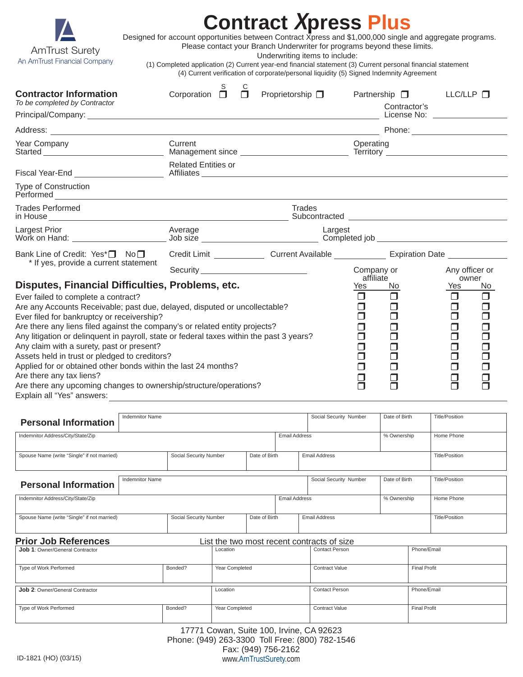

# **Contract Xpress Plus**

Designed for account opportunities between Contract Xpress and \$1,000,000 single and aggregate programs.

 Please contact your Branch Underwriter for programs beyond these limits. Underwriting items to include:

(1) Completed application (2) Current year-end financial statement (3) Current personal financial statement

(4) Current verification of corporate/personal liquidity (5) Signed Indemnity Agreement

| <b>Contractor Information</b><br>To be completed by Contractor                                                                                                          | Corporation $\square$      |  | $\Box$ | Proprietorship $\Box$ |         |                         | Partnership $\square$<br>Contractor's<br>License No: will be a series of the series of the series of the series of the series of the series of the series of the series of the series of the series of the series of the series of the series of the series of the seri | LLC/LLP                 |                  |
|-------------------------------------------------------------------------------------------------------------------------------------------------------------------------|----------------------------|--|--------|-----------------------|---------|-------------------------|-------------------------------------------------------------------------------------------------------------------------------------------------------------------------------------------------------------------------------------------------------------------------|-------------------------|------------------|
|                                                                                                                                                                         |                            |  |        |                       |         |                         |                                                                                                                                                                                                                                                                         |                         |                  |
| Year Company                                                                                                                                                            | Current                    |  |        |                       |         | Operating               |                                                                                                                                                                                                                                                                         |                         |                  |
|                                                                                                                                                                         | <b>Related Entities or</b> |  |        |                       |         |                         |                                                                                                                                                                                                                                                                         |                         |                  |
| <b>Type of Construction</b>                                                                                                                                             |                            |  |        |                       |         |                         |                                                                                                                                                                                                                                                                         |                         |                  |
| <b>Trades Performed</b>                                                                                                                                                 |                            |  |        | <b>Trades</b>         |         |                         |                                                                                                                                                                                                                                                                         |                         |                  |
| Largest Prior                                                                                                                                                           | Average                    |  |        |                       | Largest |                         |                                                                                                                                                                                                                                                                         |                         |                  |
| Bank Line of Credit: Yes <sup>*</sup> □ No□<br>* If yes, provide a current statement                                                                                    |                            |  |        |                       |         |                         |                                                                                                                                                                                                                                                                         |                         |                  |
|                                                                                                                                                                         |                            |  |        |                       |         | Company or<br>affiliate |                                                                                                                                                                                                                                                                         | Any officer or<br>owner |                  |
| Disputes, Financial Difficulties, Problems, etc.                                                                                                                        |                            |  |        |                       |         | Yes                     | No                                                                                                                                                                                                                                                                      | Yes                     | No.              |
| Ever failed to complete a contract?                                                                                                                                     |                            |  |        |                       |         | п                       | $\Box$                                                                                                                                                                                                                                                                  | П                       | $\Box$           |
| Are any Accounts Receivable; past due, delayed, disputed or uncollectable?                                                                                              |                            |  |        |                       |         | ⊓                       | ⊓                                                                                                                                                                                                                                                                       | ⊓                       | $\Box$           |
| Ever filed for bankruptcy or receivership?                                                                                                                              |                            |  |        |                       |         | ┓                       | ⊓                                                                                                                                                                                                                                                                       | $\Box$                  | $\Box$           |
| Are there any liens filed against the company's or related entity projects?<br>Any litigation or delinquent in payroll, state or federal taxes within the past 3 years? |                            |  |        |                       |         |                         |                                                                                                                                                                                                                                                                         | П<br>$\Box$             | $\Box$<br>$\Box$ |
| Any claim with a surety, past or present?                                                                                                                               |                            |  |        |                       |         | ⊓                       |                                                                                                                                                                                                                                                                         | ⊓                       | $\Box$           |
| Assets held in trust or pledged to creditors?                                                                                                                           |                            |  |        |                       |         |                         |                                                                                                                                                                                                                                                                         | $\Box$                  |                  |
| Applied for or obtained other bonds within the last 24 months?                                                                                                          |                            |  |        |                       |         | ⊓                       |                                                                                                                                                                                                                                                                         | $\Box$                  |                  |
| Are there any tax liens?                                                                                                                                                |                            |  |        |                       |         | ⊓                       |                                                                                                                                                                                                                                                                         | П                       |                  |
| Are there any upcoming changes to ownership/structure/operations?                                                                                                       |                            |  |        |                       |         |                         |                                                                                                                                                                                                                                                                         |                         |                  |

Explain all "Yes" answers:

| <b>Indemnitor Name</b>                                                    |                        |                | Social Security Number | Date of Birth          |                                     | <b>Title/Position</b> |             |                       |  |
|---------------------------------------------------------------------------|------------------------|----------------|------------------------|------------------------|-------------------------------------|-----------------------|-------------|-----------------------|--|
| <b>Personal Information</b>                                               |                        |                |                        |                        |                                     |                       |             |                       |  |
| Indemnitor Address/City/State/Zip                                         |                        |                |                        |                        | <b>Email Address</b><br>% Ownership |                       |             | Home Phone            |  |
|                                                                           |                        |                |                        |                        |                                     |                       |             |                       |  |
| Spouse Name (write "Single" if not married)                               | Social Security Number |                | Date of Birth          |                        | <b>Email Address</b>                |                       |             | <b>Title/Position</b> |  |
|                                                                           |                        |                |                        |                        |                                     |                       |             |                       |  |
| <b>Indemnitor Name</b><br><b>Personal Information</b>                     |                        |                |                        | Social Security Number |                                     | Date of Birth         |             | <b>Title/Position</b> |  |
|                                                                           |                        |                |                        |                        |                                     |                       |             |                       |  |
| Indemnitor Address/City/State/Zip                                         |                        |                |                        | <b>Email Address</b>   |                                     | % Ownership           |             | Home Phone            |  |
|                                                                           |                        |                |                        |                        |                                     |                       |             |                       |  |
| Spouse Name (write "Single" if not married)                               | Social Security Number |                |                        | Date of Birth          |                                     | <b>Email Address</b>  |             | <b>Title/Position</b> |  |
|                                                                           |                        |                |                        |                        |                                     |                       |             |                       |  |
| <b>Prior Job References</b><br>List the two most recent contracts of size |                        |                |                        |                        |                                     |                       |             |                       |  |
| <b>Job 1: Owner/General Contractor</b>                                    |                        | Location       |                        |                        | <b>Contact Person</b>               |                       | Phone/Email |                       |  |
|                                                                           |                        |                |                        |                        |                                     |                       |             |                       |  |
| Type of Work Performed                                                    | Bonded?                | Year Completed |                        |                        | <b>Contract Value</b>               |                       |             | <b>Final Profit</b>   |  |
|                                                                           |                        |                |                        |                        |                                     |                       |             |                       |  |
| <b>Job 2: Owner/General Contractor</b>                                    |                        | Location       |                        |                        | <b>Contact Person</b>               |                       | Phone/Email |                       |  |
|                                                                           |                        |                |                        |                        |                                     |                       |             |                       |  |
| Type of Work Performed                                                    | Bonded?                | Year Completed |                        |                        | <b>Contract Value</b>               |                       |             | <b>Final Profit</b>   |  |
|                                                                           |                        |                |                        |                        |                                     |                       |             |                       |  |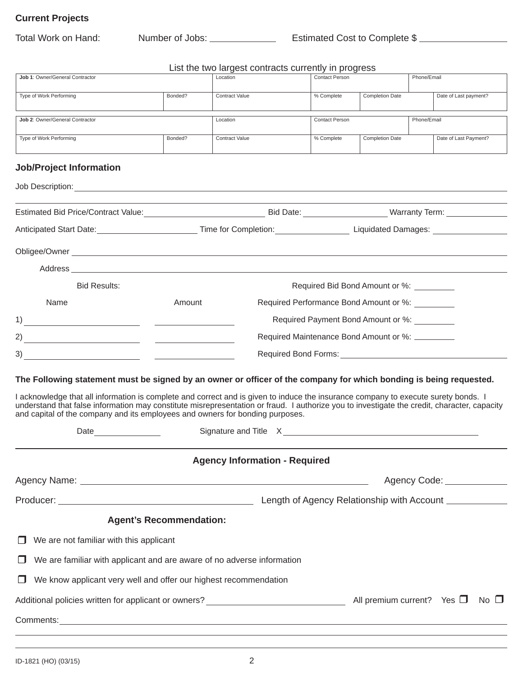# **Current Projects**

| Total Work on Hand:                                                                                                                                                                                                                                                                                                                                                                                                                                                                      |                                                                                                                                                                                                                                | Number of Jobs: ________________                       | Estimated Cost to Complete \$            |                        |             |                            |  |  |  |
|------------------------------------------------------------------------------------------------------------------------------------------------------------------------------------------------------------------------------------------------------------------------------------------------------------------------------------------------------------------------------------------------------------------------------------------------------------------------------------------|--------------------------------------------------------------------------------------------------------------------------------------------------------------------------------------------------------------------------------|--------------------------------------------------------|------------------------------------------|------------------------|-------------|----------------------------|--|--|--|
|                                                                                                                                                                                                                                                                                                                                                                                                                                                                                          |                                                                                                                                                                                                                                | List the two largest contracts currently in progress   |                                          |                        |             |                            |  |  |  |
| Job 1: Owner/General Contractor                                                                                                                                                                                                                                                                                                                                                                                                                                                          |                                                                                                                                                                                                                                | Location                                               | Contact Person                           |                        | Phone/Email |                            |  |  |  |
| Type of Work Performing                                                                                                                                                                                                                                                                                                                                                                                                                                                                  | Bonded?                                                                                                                                                                                                                        | Contract Value                                         | % Complete                               | <b>Completion Date</b> |             | Date of Last payment?      |  |  |  |
| Job 2: Owner/General Contractor                                                                                                                                                                                                                                                                                                                                                                                                                                                          |                                                                                                                                                                                                                                | Location                                               | <b>Contact Person</b>                    |                        | Phone/Email |                            |  |  |  |
| Type of Work Performing                                                                                                                                                                                                                                                                                                                                                                                                                                                                  | Bonded?                                                                                                                                                                                                                        | <b>Contract Value</b>                                  | % Complete                               | <b>Completion Date</b> |             | Date of Last Payment?      |  |  |  |
| <b>Job/Project Information</b>                                                                                                                                                                                                                                                                                                                                                                                                                                                           |                                                                                                                                                                                                                                |                                                        |                                          |                        |             |                            |  |  |  |
|                                                                                                                                                                                                                                                                                                                                                                                                                                                                                          |                                                                                                                                                                                                                                |                                                        |                                          |                        |             |                            |  |  |  |
|                                                                                                                                                                                                                                                                                                                                                                                                                                                                                          |                                                                                                                                                                                                                                |                                                        |                                          |                        |             |                            |  |  |  |
| Anticipated Start Date: <u>Conserve Community Completion: Completion: Completion: Community Community Community Community Community Community Community Community Community Community Community Community Community Community Co</u>                                                                                                                                                                                                                                                     |                                                                                                                                                                                                                                |                                                        |                                          |                        |             |                            |  |  |  |
| Obligee/Owner experience and the contract of the contract of the contract of the contract of the contract of the contract of the contract of the contract of the contract of the contract of the contract of the contract of t                                                                                                                                                                                                                                                           |                                                                                                                                                                                                                                |                                                        |                                          |                        |             |                            |  |  |  |
|                                                                                                                                                                                                                                                                                                                                                                                                                                                                                          |                                                                                                                                                                                                                                |                                                        |                                          |                        |             |                            |  |  |  |
| <b>Bid Results:</b>                                                                                                                                                                                                                                                                                                                                                                                                                                                                      |                                                                                                                                                                                                                                |                                                        | Required Bid Bond Amount or %: _________ |                        |             |                            |  |  |  |
| Name                                                                                                                                                                                                                                                                                                                                                                                                                                                                                     | Amount<br>Required Performance Bond Amount or %:                                                                                                                                                                               |                                                        |                                          |                        |             |                            |  |  |  |
| 1)<br><u> 1989 - Johann Barn, fransk politik (d. 1989)</u>                                                                                                                                                                                                                                                                                                                                                                                                                               | Required Payment Bond Amount or %:                                                                                                                                                                                             |                                                        |                                          |                        |             |                            |  |  |  |
| 2)<br><u> 1980 - Jan Samuel Barbara, político establecidad e a seu altres de la contradición de la contradición de la c</u>                                                                                                                                                                                                                                                                                                                                                              | Required Maintenance Bond Amount or %: _________                                                                                                                                                                               |                                                        |                                          |                        |             |                            |  |  |  |
| 3)<br><u> 1989 - Johann Barbara, martxa eta politikaria (h. 1908).</u>                                                                                                                                                                                                                                                                                                                                                                                                                   | Required Bond Forms: Network and Security and Security and Security and Security and Security and Security and Security and Security and Security and Security and Security and Security and Security and Security and Securit |                                                        |                                          |                        |             |                            |  |  |  |
| The Following statement must be signed by an owner or officer of the company for which bonding is being requested.<br>I acknowledge that all information is complete and correct and is given to induce the insurance company to execute surety bonds. I<br>understand that false information may constitute misrepresentation or fraud. I authorize you to investigate the credit, character, capacity<br>and capital of the company and its employees and owners for bonding purposes. |                                                                                                                                                                                                                                | Signature and Title X<br><u> Signature and Title X</u> |                                          |                        |             |                            |  |  |  |
|                                                                                                                                                                                                                                                                                                                                                                                                                                                                                          |                                                                                                                                                                                                                                | <b>Agency Information - Required</b>                   |                                          |                        |             |                            |  |  |  |
|                                                                                                                                                                                                                                                                                                                                                                                                                                                                                          |                                                                                                                                                                                                                                |                                                        |                                          |                        |             | Agency Code: _____________ |  |  |  |
|                                                                                                                                                                                                                                                                                                                                                                                                                                                                                          |                                                                                                                                                                                                                                |                                                        |                                          |                        |             |                            |  |  |  |
| <b>Agent's Recommendation:</b>                                                                                                                                                                                                                                                                                                                                                                                                                                                           |                                                                                                                                                                                                                                |                                                        |                                          |                        |             |                            |  |  |  |
| We are not familiar with this applicant<br>$\mathsf{L}$                                                                                                                                                                                                                                                                                                                                                                                                                                  |                                                                                                                                                                                                                                |                                                        |                                          |                        |             |                            |  |  |  |
| We are familiar with applicant and are aware of no adverse information<br>⊔                                                                                                                                                                                                                                                                                                                                                                                                              |                                                                                                                                                                                                                                |                                                        |                                          |                        |             |                            |  |  |  |
| We know applicant very well and offer our highest recommendation<br>ப                                                                                                                                                                                                                                                                                                                                                                                                                    |                                                                                                                                                                                                                                |                                                        |                                          |                        |             |                            |  |  |  |
| Additional policies written for applicant or owners? $\_\_\_\_\_\_\_\_\_$ All premium current? Yes $\Box$ No $\Box$                                                                                                                                                                                                                                                                                                                                                                      |                                                                                                                                                                                                                                |                                                        |                                          |                        |             |                            |  |  |  |
| Comments: <u>example and the comments of the community of the community of the community of the community of the community of the community of the community of the community of the community of the community of the community</u>                                                                                                                                                                                                                                                     |                                                                                                                                                                                                                                |                                                        |                                          |                        |             |                            |  |  |  |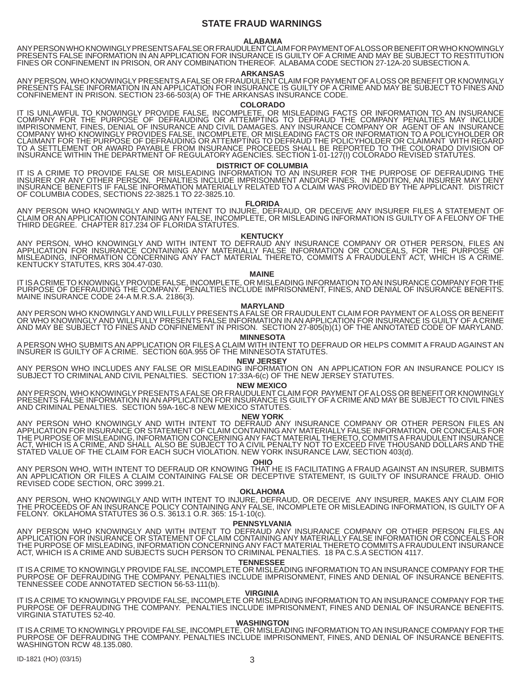# **STATE FRAUD WARNINGS**

# **ALABAMA**

ANY PERSON WHO KNOWINGLY PRESENTS A FALSE OR FRAUDULENT CLAIM FOR PAYMENT OF A LOSS OR BENEFIT OR WHO KNOWINGLY PRESENTS FALSE INFORMATION IN AN APPLICATION FOR INSURANCE IS GUILTY OF A CRIME AND MAY BE SUBJECT TO RESTITUTION FINES OR CONFINEMENT IN PRISON, OR ANY COMBINATION THEREOF. ALABAMA CODE SECTION 27-12A-20 SUBSECTION A.

# **ARKANSAS**

 ANY PERSON, WHO KNOWINGLY PRESENTS A FALSE OR FRAUDULENT CLAIM FOR PAYMENT OF A LOSS OR BENEFIT OR KNOWINGLY PRESENTS FALSE INFORMATION IN AN APPLICATION FOR INSURANCE IS GUILTY OF A CRIME AND MAY BE SUBJECT TO FINES AND CONFINEMENT IN PRISON. SECTION 23-66-503(A) OF THE ARKANSAS INSURANCE CODE.

# **COLORADO**

IT IS UNLAWFUL TO KNOWINGLY PROVIDE FALSE, INCOMPLETE, OR MISLEADING FACTS OR INFORMATION TO AN INSURANCE COMPANY FOR THE PURPOSE OF DEFRAUDING OR ATTEMPTING TO DEFRAUD THE COMPANY PENALTIES MAY INCLUDE IMPRISONMENT, FINES, DENIAL OF INSURANCE AND CIVIL DAMAGES. ANY INSURANCE COMPANY OR AGENT OF AN INSURANCE COMPANY WHO KNOWINGLY PROVIDES FALSE, INCOMPLETE, OR MISLEADING FACTS OR INFORMATION TO A POLICYHOLDER OR CLAIMANT FOR THE PURPOSE OF DEFRAUDING OR ATTEMPTING TO DEFRAUD THE POLICYHOLDER OR CLAIMANT WITH REGARD TO A SETTLEMENT OR AWARD PAYABLE FROM INSURANCE PROCEEDS SHALL BE REPORTED TO THE COLORADO DIVISION OF INSURANCE WITHIN THE DEPARTMENT OF REGULATORY AGENCIES. SECTION 1-01-127(I) COLORADO REVISED STATUTES.

### **DISTRICT OF COLUMBIA**

IT IS A CRIME TO PROVIDE FALSE OR MISLEADING INFORMATION TO AN INSURER FOR THE PURPOSE OF DEFRAUDING THE INSURER OR ANY OTHER PERSON. PENALTIES INCLUDE IMPRISONMENT AND/OR FINES. IN ADDITION, AN INSURER MAY DENY INSURANCE BENEFITS IF FALSE INFORMATION MATERIALLY RELATED TO A CLAIM WAS PROVIDED BY THE APPLICANT. DISTRICT OF COLUMBIA CODES, SECTIONS 22-3825.1 TO 22-3825.10.

### **FLORIDA**

ANY PERSON WHO KNOWINGLY AND WITH INTENT TO INJURE, DEFRAUD, OR DECEIVE ANY INSURER FILES A STATEMENT OF CLAIM OR AN APPLICATION CONTAINING ANY FALSE, INCOMPLETE, OR MISLEADING INFORMATION IS GUILTY OF A FELONY OF THE THIRD DEGREE. CHAPTER 817.234 OF FLORIDA STATUTES.

# **KENTUCKY**

ANY PERSON, WHO KNOWINGLY AND WITH INTENT TO DEFRAUD ANY INSURANCE COMPANY OR OTHER PERSON, FILES AN APPLICATION FOR INSURANCE CONTAINING ANY MATERIALLY FALSE INFORMATION OR CONCEALS, FOR THE PURPOSE OF MISLEADING, INFORMATION CONCERNING ANY FACT MATERIAL THERETO, COMMITS A FRAUDULENT ACT, WHICH IS A CRIME. KENTUCKY STATUTES, KRS 304.47-030.

#### **MAINE**

IT IS A CRIME TO KNOWINGLY PROVIDE FALSE, INCOMPLETE, OR MISLEADING INFORMATION TO AN INSURANCE COMPANY FOR THE PURPOSE OF DEFRAUDING THE COMPANY. PENALTIES INCLUDE IMPRISONMENT, FINES, AND DENIAL OF INSURANCE BENEFITS. MAINE INSURANCE CODE 24-A M.R.S.A. 2186(3).

### **MARYLAND**

ANY PERSON WHO KNOWINGLY AND WILLFULLY PRESENTS A FALSE OR FRAUDULENT CLAIM FOR PAYMENT OF A LOSS OR BENEFIT OR WHO KNOWINGLY AND WILLFULLY PRESENTS FALSE INFORMATION IN AN APPLICATION FOR INSURANCE IS GUILTY OF A CRIME AND MAY BE SUBJECT TO FINES AND CONFINEMENT IN PRISON. SECTION 27-805(b)(1) OF THE ANNOTATED CODE OF MARYLAND.

# **MINNESOTA**

A PERSON WHO SUBMITS AN APPLICATION OR FILES A CLAIM WITH INTENT TO DEFRAUD OR HELPS COMMIT A FRAUD AGAINST AN INSURER IS GUILTY OF A CRIME. SECTION 60A.955 OF THE MINNESOTA STATUTES.

# **NEW JERSEY**

ANY PERSON WHO INCLUDES ANY FALSE OR MISLEADING INFORMATION ON AN APPLICATION FOR AN INSURANCE POLICY IS SUBJECT TO CRIMINAL AND CIVIL PENALTIES. SECTION 17:33A-6(c) OF THE NEW JERSEY STATUTES.

# **NEW MEXICO**

ANY PERSON, WHO KNOWINGLY PRESENTS A FALSE OR FRAUDULENT CLAIM FOR PAYMENT OF A LOSS OR BENEFIT OR KNOWINGLY PRESENTS FALSE INFORMATION IN AN APPLICATION FOR INSURANCE IS GUILTY OF A CRIME AND MAY BE SUBJECT TO CIVIL FINES AND CRIMINAL PENALTIES. SECTION 59A-16C-8 NEW MEXICO STATUTES.

# **NEW YORK**

ANY PERSON WHO KNOWINGLY AND WITH INTENT TO DEFRAUD ANY INSURANCE COMPANY OR OTHER PERSON FILES AN APPLICATION FOR INSURANCE OR STATEMENT OF CLAIM CONTAINING ANY MATERIALLY FALSE INFORMATION, OR CONCEALS FOR THE PURPOSE OF MISLEADING, INFORMATION CONCERNING ANY FACT MATERIAL THERETO, COMMITS A FRAUDULENT INSURANCE ACT, WHICH IS A CRIME, AND SHALL ALSO BE SUBJECT TO A CIVIL PENALTY NOT TO EXCEED FIVE THOUSAND DOLLARS AND THE STATED VALUE OF THE CLAIM FOR EACH SUCH VIOLATION. NEW YORK INSURANCE LAW, SECTION 403(d).

#### **OHIO**

ANY PERSON WHO, WITH INTENT TO DEFRAUD OR KNOWING THAT HE IS FACILITATING A FRAUD AGAINST AN INSURER, SUBMITS AN APPLICATION OR FILES A CLAIM CONTAINING FALSE OR DECEPTIVE STATEMENT, IS GUILTY OF INSURANCE FRAUD. OHIO REVISED CODE SECTION, ORC 3999.21.

## **OKLAHOMA**

ANY PERSON, WHO KNOWINGLY AND WITH INTENT TO INJURE, DEFRAUD, OR DECEIVE ANY INSURER, MAKES ANY CLAIM FOR THE PROCEEDS OF AN INSURANCE POLICY CONTAINING ANY FALSE, INCOMPLETE OR MISLEADING INFORMATION, IS GUILTY OF A FELONY. OKLAHOMA STATUTES 36 O.S. 3613.1 O.R. 365: 15-1-10(c).

## **PENNSYLVANIA**

ANY PERSON WHO KNOWINGLY AND WITH INTENT TO DEFRAUD ANY INSURANCE COMPANY OR OTHER PERSON FILES AN APPLICATION FOR INSURANCE OR STATEMENT OF CLAIM CONTAINING ANY MATERIALLY FALSE INFORMATION OR CONCEALS FOR THE PURPOSE OF MISLEADING, INFORMATION CONCERNING ANY FACT MATERIAL THERETO COMMITS A FRAUDULENT INSURANCE ACT, WHICH IS A CRIME AND SUBJECTS SUCH PERSON TO CRIMINAL PENALTIES. 18 PA C.S.A SECTION 4117.

# **TENNESSEE**

IT IS A CRIME TO KNOWINGLY PROVIDE FALSE, INCOMPLETE OR MISLEADING INFORMATION TO AN INSURANCE COMPANY FOR THE PURPOSE OF DEFRAUDING THE COMPANY. PENALTIES INCLUDE IMPRISONMENT, FINES AND DENIAL OF INSURANCE BENEFITS. TENNESSEE CODE ANNOTATED SECTION 56-53-111(b).

#### **VIRGINIA**

IT IS A CRIME TO KNOWINGLY PROVIDE FALSE, INCOMPLETE OR MISLEADING INFORMATION TO AN INSURANCE COMPANY FOR THE PURPOSE OF DEFRAUDING THE COMPANY. PENALTIES INCLUDE IMPRISONMENT, FINES AND DENIAL OF INSURANCE BENEFITS. VIRGINIA STATUTES 52-40.

# **WASHINGTON**

IT IS A CRIME TO KNOWINGLY PROVIDE FALSE, INCOMPLETE, OR MISLEADING INFORMATION TO AN INSURANCE COMPANY FOR THE PURPOSE OF DEFRAUDING THE COMPANY. PENALTIES INCLUDE IMPRISONMENT, FINES, AND DENIAL OF INSURANCE BENEFITS. WASHINGTON RCW 48.135.080.